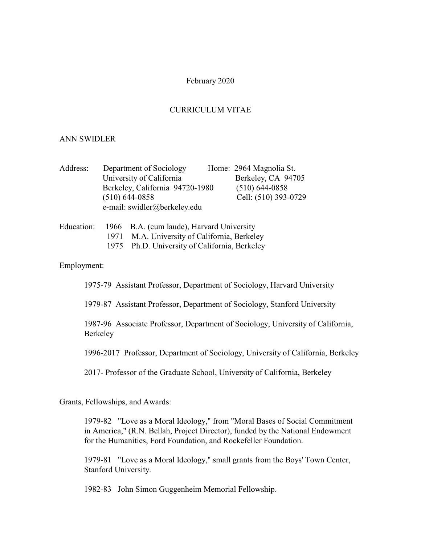# February 2020

# CURRICULUM VITAE

#### ANN SWIDLER

| Address: | Department of Sociology         | Home: 2964 Magnolia St. |
|----------|---------------------------------|-------------------------|
|          | University of California        | Berkeley, CA 94705      |
|          | Berkeley, California 94720-1980 | $(510)$ 644-0858        |
|          | $(510)$ 644-0858                | Cell: (510) 393-0729    |
|          | e-mail: swidler@berkeley.edu    |                         |

| Education: |      | 1966 B.A. (cum laude), Harvard University |
|------------|------|-------------------------------------------|
|            | 1971 | M.A. University of California, Berkeley   |
|            | 1975 | Ph.D. University of California, Berkeley  |

### Employment:

1975-79 Assistant Professor, Department of Sociology, Harvard University

1979-87 Assistant Professor, Department of Sociology, Stanford University

1987-96 Associate Professor, Department of Sociology, University of California, Berkeley

1996-2017 Professor, Department of Sociology, University of California, Berkeley

2017- Professor of the Graduate School, University of California, Berkeley

Grants, Fellowships, and Awards:

1979-82 "Love as a Moral Ideology," from "Moral Bases of Social Commitment in America," (R.N. Bellah, Project Director), funded by the National Endowment for the Humanities, Ford Foundation, and Rockefeller Foundation.

1979-81 "Love as a Moral Ideology," small grants from the Boys' Town Center, Stanford University.

1982-83 John Simon Guggenheim Memorial Fellowship.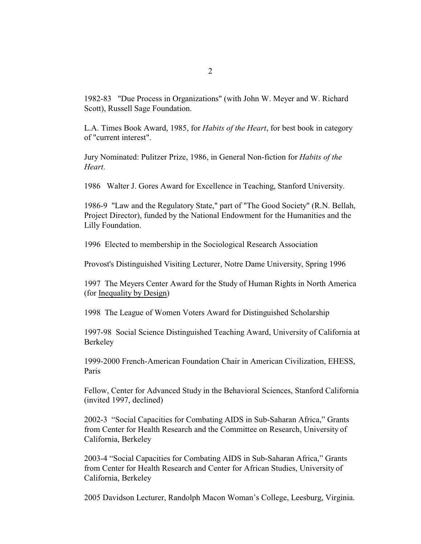1982-83 "Due Process in Organizations" (with John W. Meyer and W. Richard Scott), Russell Sage Foundation.

L.A. Times Book Award, 1985, for *Habits of the Heart*, for best book in category of "current interest".

Jury Nominated: Pulitzer Prize, 1986, in General Non-fiction for *Habits of the Heart*.

1986 Walter J. Gores Award for Excellence in Teaching, Stanford University.

1986-9 "Law and the Regulatory State," part of "The Good Society" (R.N. Bellah, Project Director), funded by the National Endowment for the Humanities and the Lilly Foundation.

1996 Elected to membership in the Sociological Research Association

Provost's Distinguished Visiting Lecturer, Notre Dame University, Spring 1996

1997 The Meyers Center Award for the Study of Human Rights in North America (for Inequality by Design)

1998 The League of Women Voters Award for Distinguished Scholarship

1997-98 Social Science Distinguished Teaching Award, University of California at Berkeley

1999-2000 French-American Foundation Chair in American Civilization, EHESS, Paris

Fellow, Center for Advanced Study in the Behavioral Sciences, Stanford California (invited 1997, declined)

2002-3 "Social Capacities for Combating AIDS in Sub-Saharan Africa," Grants from Center for Health Research and the Committee on Research, University of California, Berkeley

2003-4 "Social Capacities for Combating AIDS in Sub-Saharan Africa," Grants from Center for Health Research and Center for African Studies, University of California, Berkeley

2005 Davidson Lecturer, Randolph Macon Woman's College, Leesburg, Virginia.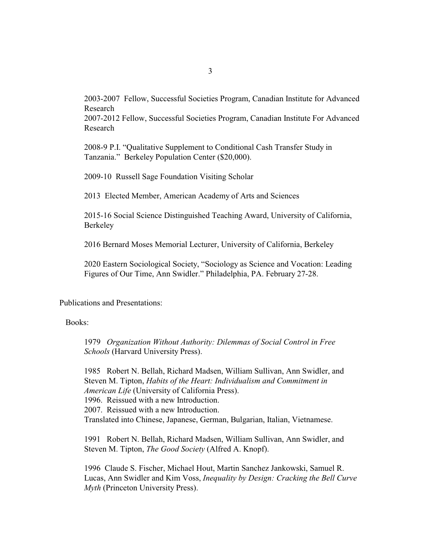2003-2007 Fellow, Successful Societies Program, Canadian Institute for Advanced Research

2007-2012 Fellow, Successful Societies Program, Canadian Institute For Advanced Research

2008-9 P.I. "Qualitative Supplement to Conditional Cash Transfer Study in Tanzania." Berkeley Population Center (\$20,000).

2009-10 Russell Sage Foundation Visiting Scholar

2013 Elected Member, American Academy of Arts and Sciences

2015-16 Social Science Distinguished Teaching Award, University of California, Berkeley

2016 Bernard Moses Memorial Lecturer, University of California, Berkeley

2020 Eastern Sociological Society, "Sociology as Science and Vocation: Leading Figures of Our Time, Ann Swidler." Philadelphia, PA. February 27-28.

Publications and Presentations:

Books:

1979 *Organization Without Authority: Dilemmas of Social Control in Free Schools* (Harvard University Press).

1985 Robert N. Bellah, Richard Madsen, William Sullivan, Ann Swidler, and Steven M. Tipton, *Habits of the Heart: Individualism and Commitment in American Life* (University of California Press). 1996. Reissued with a new Introduction. 2007. Reissued with a new Introduction. Translated into Chinese, Japanese, German, Bulgarian, Italian, Vietnamese.

1991 Robert N. Bellah, Richard Madsen, William Sullivan, Ann Swidler, and Steven M. Tipton, *The Good Society* (Alfred A. Knopf).

1996 Claude S. Fischer, Michael Hout, Martin Sanchez Jankowski, Samuel R. Lucas, Ann Swidler and Kim Voss, *Inequality by Design: Cracking the Bell Curve Myth* (Princeton University Press).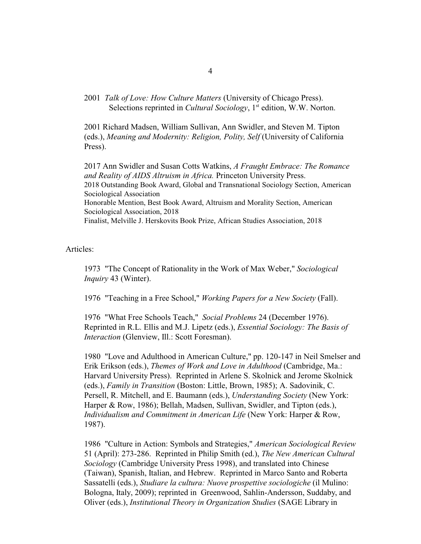2001 *Talk of Love: How Culture Matters* (University of Chicago Press). Selections reprinted in *Cultural Sociology*, 1<sup>st</sup> edition, W.W. Norton.

2001 Richard Madsen, William Sullivan, Ann Swidler, and Steven M. Tipton (eds.), *Meaning and Modernity: Religion, Polity, Self* (University of California Press).

2017 Ann Swidler and Susan Cotts Watkins, *A Fraught Embrace: The Romance and Reality of AIDS Altruism in Africa.* Princeton University Press. 2018 Outstanding Book Award, Global and Transnational Sociology Section, American Sociological Association Honorable Mention, Best Book Award, Altruism and Morality Section, American Sociological Association, 2018 Finalist, Melville J. Herskovits Book Prize, African Studies Association, 2018

Articles:

1973 "The Concept of Rationality in the Work of Max Weber," *Sociological Inquiry* 43 (Winter).

1976 "Teaching in a Free School," *Working Papers for a New Society* (Fall).

1976 "What Free Schools Teach," *Social Problems* 24 (December 1976). Reprinted in R.L. Ellis and M.J. Lipetz (eds.), *Essential Sociology: The Basis of Interaction* (Glenview, Ill.: Scott Foresman).

1980 "Love and Adulthood in American Culture," pp. 120-147 in Neil Smelser and Erik Erikson (eds.), *Themes of Work and Love in Adulthood* (Cambridge, Ma.: Harvard University Press). Reprinted in Arlene S. Skolnick and Jerome Skolnick (eds.), *Family in Transition* (Boston: Little, Brown, 1985); A. Sadovinik, C. Persell, R. Mitchell, and E. Baumann (eds.), *Understanding Society* (New York: Harper & Row, 1986); Bellah, Madsen, Sullivan, Swidler, and Tipton (eds.), *Individualism and Commitment in American Life* (New York: Harper & Row, 1987).

1986 "Culture in Action: Symbols and Strategies," *American Sociological Review* 51 (April): 273-286. Reprinted in Philip Smith (ed.), *The New American Cultural Sociology* (Cambridge University Press 1998), and translated into Chinese (Taiwan), Spanish, Italian, and Hebrew. Reprinted in Marco Santo and Roberta Sassatelli (eds.), *Studiare la cultura: Nuove prospettive sociologiche* (il Mulino: Bologna, Italy, 2009); reprinted in Greenwood, Sahlin-Andersson, Suddaby, and Oliver (eds.), *Institutional Theory in Organization Studies* (SAGE Library in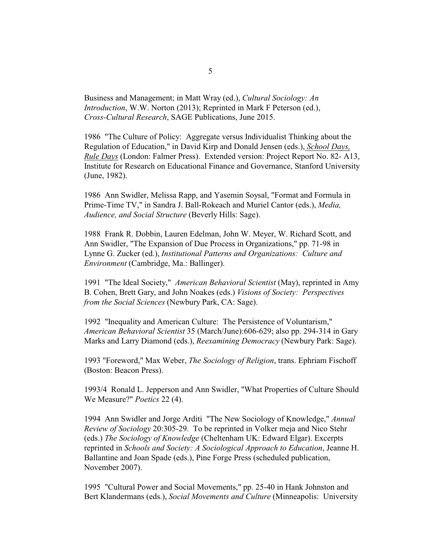Business and Management; in Matt Wray (ed.), *Cultural Sociology: An Introduction*, W.W. Norton (2013); Reprinted in Mark F Peterson (ed.), *Cross-Cultural Research*, SAGE Publications, June 2015.

1986 "The Culture of Policy: Aggregate versus Individualist Thinking about the Regulation of Education," in David Kirp and Donald Jensen (eds.), *School Days, Rule Days* (London: Falmer Press). Extended version: Project Report No. 82- A13, Institute for Research on Educational Finance and Governance, Stanford University (June, 1982).

1986 Ann Swidler, Melissa Rapp, and Yasemin Soysal, "Format and Formula in Prime-Time TV," in Sandra J. Ball-Rokeach and Muriel Cantor (eds.), *Media, Audience, and Social Structure* (Beverly Hills: Sage).

1988 Frank R. Dobbin, Lauren Edelman, John W. Meyer, W. Richard Scott, and Ann Swidler, "The Expansion of Due Process in Organizations," pp. 71-98 in Lynne G. Zucker (ed.), *Institutional Patterns and Organizations: Culture and Environment* (Cambridge, Ma.: Ballinger).

1991 "The Ideal Society," *American Behavioral Scientist* (May), reprinted in Amy B. Cohen, Brett Gary, and John Noakes (eds.) *Visions of Society: Perspectives from the Social Sciences* (Newbury Park, CA: Sage).

1992 "Inequality and American Culture: The Persistence of Voluntarism," *American Behavioral Scientist* 35 (March/June):606-629; also pp. 294-314 in Gary Marks and Larry Diamond (eds.), *Reexamining Democracy* (Newbury Park: Sage).

1993 "Foreword," Max Weber, *The Sociology of Religion*, trans. Ephriam Fischoff (Boston: Beacon Press).

1993/4 Ronald L. Jepperson and Ann Swidler, "What Properties of Culture Should We Measure?" *Poetics* 22 (4).

1994 Ann Swidler and Jorge Arditi "The New Sociology of Knowledge," *Annual Review of Sociology* 20:305-29. To be reprinted in Volker meja and Nico Stehr (eds.) *The Sociology of Knowledge* (Cheltenham UK: Edward Elgar). Excerpts reprinted in *Schools and Society: A Sociological Approach to Education*, Jeanne H. Ballantine and Joan Spade (eds.), Pine Forge Press (scheduled publication, November 2007).

1995 "Cultural Power and Social Movements," pp. 25-40 in Hank Johnston and Bert Klandermans (eds.), *Social Movements and Culture* (Minneapolis: University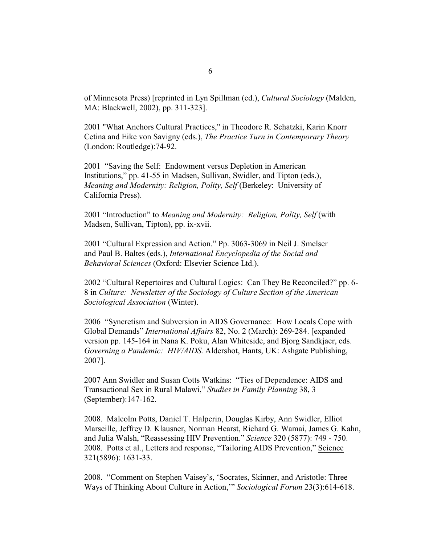of Minnesota Press) [reprinted in Lyn Spillman (ed.), *Cultural Sociology* (Malden, MA: Blackwell, 2002), pp. 311-323].

2001 "What Anchors Cultural Practices," in Theodore R. Schatzki, Karin Knorr Cetina and Eike von Savigny (eds.), *The Practice Turn in Contemporary Theory* (London: Routledge):74-92.

2001 "Saving the Self: Endowment versus Depletion in American Institutions," pp. 41-55 in Madsen, Sullivan, Swidler, and Tipton (eds.), *Meaning and Modernity: Religion, Polity, Self* (Berkeley: University of California Press).

2001 "Introduction" to *Meaning and Modernity: Religion, Polity, Self* (with Madsen, Sullivan, Tipton), pp. ix-xvii.

2001 "Cultural Expression and Action." Pp. 3063-3069 in Neil J. Smelser and Paul B. Baltes (eds.), *International Encyclopedia of the Social and Behavioral Sciences* (Oxford: Elsevier Science Ltd.).

2002 "Cultural Repertoires and Cultural Logics: Can They Be Reconciled?" pp. 6- 8 in *Culture: Newsletter of the Sociology of Culture Section of the American Sociological Association* (Winter).

2006 "Syncretism and Subversion in AIDS Governance: How Locals Cope with Global Demands" *International Affairs* 82, No. 2 (March): 269-284. [expanded version pp. 145-164 in Nana K. Poku, Alan Whiteside, and Bjorg Sandkjaer, eds. *Governing a Pandemic: HIV/AIDS*. Aldershot, Hants, UK: Ashgate Publishing, 2007].

2007 Ann Swidler and Susan Cotts Watkins: "Ties of Dependence: AIDS and Transactional Sex in Rural Malawi," *Studies in Family Planning* 38, 3 (September):147-162.

2008. Malcolm Potts, Daniel T. Halperin, Douglas Kirby, Ann Swidler, Elliot Marseille, Jeffrey D. Klausner, Norman Hearst, Richard G. Wamai, James G. Kahn, and Julia Walsh, "Reassessing HIV Prevention." *Science* 320 (5877): 749 - 750. 2008. Potts et al., Letters and response, "Tailoring AIDS Prevention," Science 321(5896): 1631-33.

2008. "Comment on Stephen Vaisey's, 'Socrates, Skinner, and Aristotle: Three Ways of Thinking About Culture in Action,'" *Sociological Forum* 23(3):614-618.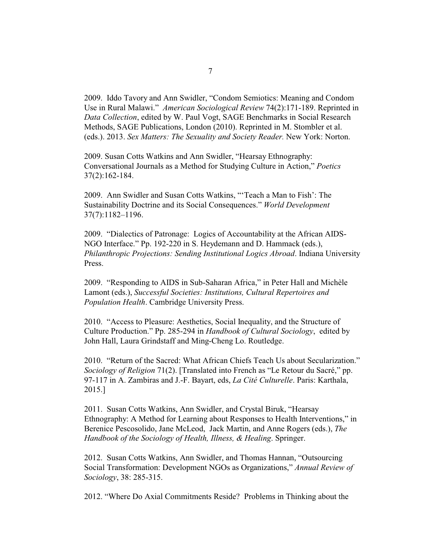2009. Iddo Tavory and Ann Swidler, "Condom Semiotics: Meaning and Condom Use in Rural Malawi." *American Sociological Review* 74(2):171-189. Reprinted in *Data Collection*, edited by W. Paul Vogt, SAGE Benchmarks in Social Research Methods, SAGE Publications, London (2010). Reprinted in M. Stombler et al. (eds.). 2013. *Sex Matters: The Sexuality and Society Reader.* New York: Norton.

2009. Susan Cotts Watkins and Ann Swidler, "Hearsay Ethnography: Conversational Journals as a Method for Studying Culture in Action," *Poetics* 37(2):162-184.

2009. Ann Swidler and Susan Cotts Watkins, "'Teach a Man to Fish': The Sustainability Doctrine and its Social Consequences." *World Development* 37(7):1182–1196.

2009. "Dialectics of Patronage: Logics of Accountability at the African AIDS-NGO Interface." Pp. 192-220 in S. Heydemann and D. Hammack (eds.), *Philanthropic Projections: Sending Institutional Logics Abroad*. Indiana University Press.

2009. "Responding to AIDS in Sub-Saharan Africa," in Peter Hall and Michèle Lamont (eds.), *Successful Societies: Institutions, Cultural Repertoires and Population Health*. Cambridge University Press.

2010. "Access to Pleasure: Aesthetics, Social Inequality, and the Structure of Culture Production." Pp. 285-294 in *Handbook of Cultural Sociology*, edited by John Hall, Laura Grindstaff and Ming-Cheng Lo. Routledge.

2010. "Return of the Sacred: What African Chiefs Teach Us about Secularization." *Sociology of Religion* 71(2). [Translated into French as "Le Retour du Sacré," pp. 97-117 in A. Zambiras and J.-F. Bayart, eds, *La Cité Culturelle*. Paris: Karthala, 2015.]

2011. Susan Cotts Watkins, Ann Swidler, and Crystal Biruk, "Hearsay Ethnography: A Method for Learning about Responses to Health Interventions," in Berenice Pescosolido, Jane McLeod, Jack Martin, and Anne Rogers (eds.), *The Handbook of the Sociology of Health, Illness, & Healing*. Springer.

2012. Susan Cotts Watkins, Ann Swidler, and Thomas Hannan, "Outsourcing Social Transformation: Development NGOs as Organizations," *Annual Review of Sociology*, 38: 285-315.

2012. "Where Do Axial Commitments Reside? Problems in Thinking about the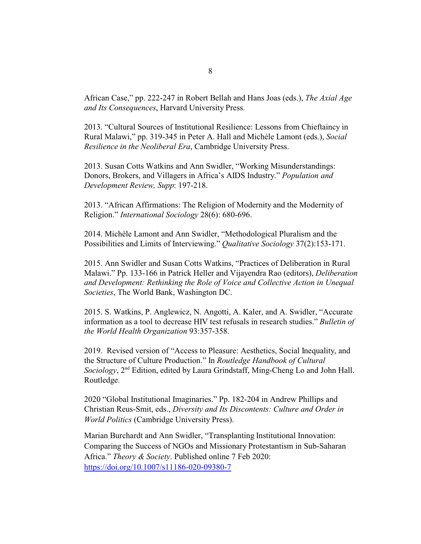African Case," pp. 222-247 in Robert Bellah and Hans Joas (eds.), *The Axial Age and Its Consequences*, Harvard University Press.

2013. "Cultural Sources of Institutional Resilience: Lessons from Chieftaincy in Rural Malawi," pp. 319-345 in Peter A. Hall and Michèle Lamont (eds.), *Social Resilience in the Neoliberal Era*, Cambridge University Press.

2013. Susan Cotts Watkins and Ann Swidler, "Working Misunderstandings: Donors, Brokers, and Villagers in Africa's AIDS Industry." *Population and Development Review, Supp*: 197-218.

2013. "African Affirmations: The Religion of Modernity and the Modernity of Religion." *International Sociology* 28(6): 680-696.

2014. Michèle Lamont and Ann Swidler, "Methodological Pluralism and the Possibilities and Limits of Interviewing." *Qualitative Sociology* 37(2):153-171.

2015. Ann Swidler and Susan Cotts Watkins, "Practices of Deliberation in Rural Malawi." Pp. 133-166 in Patrick Heller and Vijayendra Rao (editors), *Deliberation and Development: Rethinking the Role of Voice and Collective Action in Unequal Societies*, The World Bank, Washington DC.

2015. S. Watkins, P. Anglewicz, N. Angotti, A. Kaler, and A. Swidler, "Accurate information as a tool to decrease HIV test refusals in research studies." *Bulletin of the World Health Organization* 93:357-358.

2019. Revised version of "Access to Pleasure: Aesthetics, Social Inequality, and the Structure of Culture Production." In *Routledge Handbook of Cultural* Sociology, 2<sup>nd</sup> Edition, edited by Laura Grindstaff, Ming-Cheng Lo and John Hall. Routledge.

2020 "Global Institutional Imaginaries." Pp. 182-204 in Andrew Phillips and Christian Reus-Smit, eds., *Diversity and Its Discontents: Culture and Order in World Politics* (Cambridge University Press).

Marian Burchardt and Ann Swidler, "Transplanting Institutional Innovation: Comparing the Success of NGOs and Missionary Protestantism in Sub-Saharan Africa." *Theory & Society*. Published online 7 Feb 2020: <https://doi.org/10.1007/s11186-020-09380-7>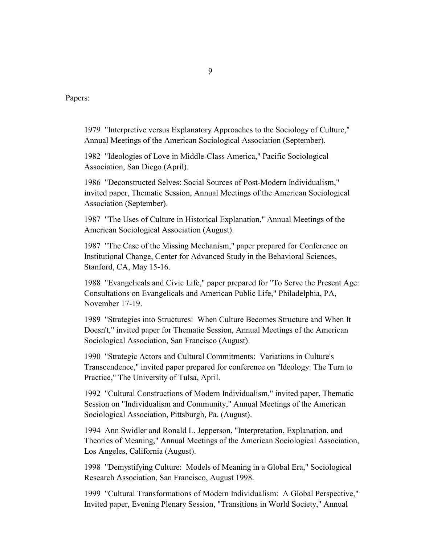Papers:

1979 "Interpretive versus Explanatory Approaches to the Sociology of Culture," Annual Meetings of the American Sociological Association (September).

1982 "Ideologies of Love in Middle-Class America," Pacific Sociological Association, San Diego (April).

1986 "Deconstructed Selves: Social Sources of Post-Modern Individualism," invited paper, Thematic Session, Annual Meetings of the American Sociological Association (September).

1987 "The Uses of Culture in Historical Explanation," Annual Meetings of the American Sociological Association (August).

1987 "The Case of the Missing Mechanism," paper prepared for Conference on Institutional Change, Center for Advanced Study in the Behavioral Sciences, Stanford, CA, May 15-16.

1988 "Evangelicals and Civic Life," paper prepared for "To Serve the Present Age: Consultations on Evangelicals and American Public Life," Philadelphia, PA, November 17-19.

1989 "Strategies into Structures: When Culture Becomes Structure and When It Doesn't," invited paper for Thematic Session, Annual Meetings of the American Sociological Association, San Francisco (August).

1990 "Strategic Actors and Cultural Commitments: Variations in Culture's Transcendence," invited paper prepared for conference on "Ideology: The Turn to Practice," The University of Tulsa, April.

1992 "Cultural Constructions of Modern Individualism," invited paper, Thematic Session on "Individualism and Community," Annual Meetings of the American Sociological Association, Pittsburgh, Pa. (August).

1994 Ann Swidler and Ronald L. Jepperson, "Interpretation, Explanation, and Theories of Meaning," Annual Meetings of the American Sociological Association, Los Angeles, California (August).

1998 "Demystifying Culture: Models of Meaning in a Global Era," Sociological Research Association, San Francisco, August 1998.

1999 "Cultural Transformations of Modern Individualism: A Global Perspective," Invited paper, Evening Plenary Session, "Transitions in World Society," Annual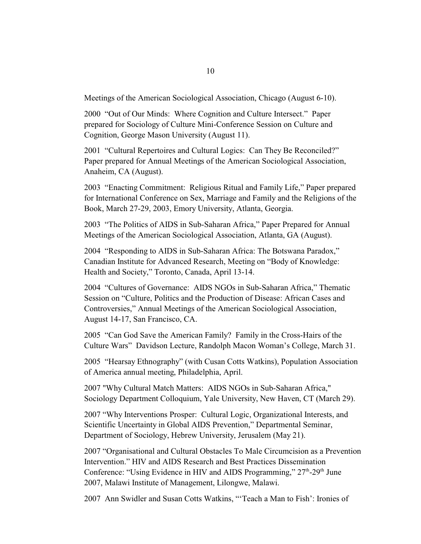Meetings of the American Sociological Association, Chicago (August 6-10).

2000 "Out of Our Minds: Where Cognition and Culture Intersect." Paper prepared for Sociology of Culture Mini-Conference Session on Culture and Cognition, George Mason University (August 11).

2001 "Cultural Repertoires and Cultural Logics: Can They Be Reconciled?" Paper prepared for Annual Meetings of the American Sociological Association, Anaheim, CA (August).

2003 "Enacting Commitment: Religious Ritual and Family Life," Paper prepared for International Conference on Sex, Marriage and Family and the Religions of the Book, March 27-29, 2003, Emory University, Atlanta, Georgia.

2003 "The Politics of AIDS in Sub-Saharan Africa," Paper Prepared for Annual Meetings of the American Sociological Association, Atlanta, GA (August).

2004 "Responding to AIDS in Sub-Saharan Africa: The Botswana Paradox," Canadian Institute for Advanced Research, Meeting on "Body of Knowledge: Health and Society," Toronto, Canada, April 13-14.

2004 "Cultures of Governance: AIDS NGOs in Sub-Saharan Africa," Thematic Session on "Culture, Politics and the Production of Disease: African Cases and Controversies," Annual Meetings of the American Sociological Association, August 14-17, San Francisco, CA.

2005 "Can God Save the American Family? Family in the Cross-Hairs of the Culture Wars" Davidson Lecture, Randolph Macon Woman's College, March 31.

2005 "Hearsay Ethnography" (with Cusan Cotts Watkins), Population Association of America annual meeting, Philadelphia, April.

2007 "Why Cultural Match Matters: AIDS NGOs in Sub-Saharan Africa," Sociology Department Colloquium, Yale University, New Haven, CT (March 29).

2007 "Why Interventions Prosper: Cultural Logic, Organizational Interests, and Scientific Uncertainty in Global AIDS Prevention," Departmental Seminar, Department of Sociology, Hebrew University, Jerusalem (May 21).

2007 "Organisational and Cultural Obstacles To Male Circumcision as a Prevention Intervention." HIV and AIDS Research and Best Practices Dissemination Conference: "Using Evidence in HIV and AIDS Programming," 27<sup>th</sup>-29<sup>th</sup> June 2007, Malawi Institute of Management, Lilongwe, Malawi.

2007 Ann Swidler and Susan Cotts Watkins, "'Teach a Man to Fish': Ironies of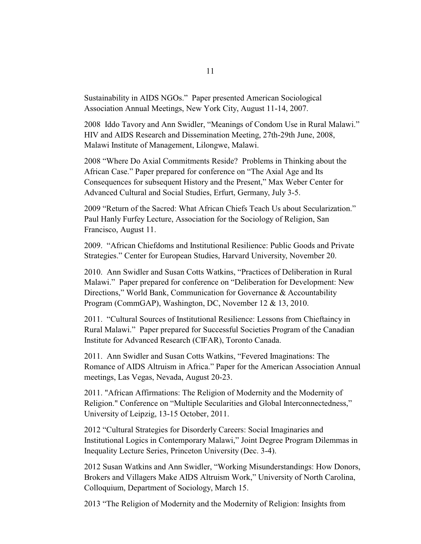Sustainability in AIDS NGOs." Paper presented American Sociological Association Annual Meetings, New York City, August 11-14, 2007.

2008 Iddo Tavory and Ann Swidler, "Meanings of Condom Use in Rural Malawi." HIV and AIDS Research and Dissemination Meeting, 27th-29th June, 2008, Malawi Institute of Management, Lilongwe, Malawi.

2008 "Where Do Axial Commitments Reside? Problems in Thinking about the African Case." Paper prepared for conference on "The Axial Age and Its Consequences for subsequent History and the Present," Max Weber Center for Advanced Cultural and Social Studies, Erfurt, Germany, July 3-5.

2009 "Return of the Sacred: What African Chiefs Teach Us about Secularization." Paul Hanly Furfey Lecture, Association for the Sociology of Religion, San Francisco, August 11.

2009. "African Chiefdoms and Institutional Resilience: Public Goods and Private Strategies." Center for European Studies, Harvard University, November 20.

2010. Ann Swidler and Susan Cotts Watkins, "Practices of Deliberation in Rural Malawi." Paper prepared for conference on "Deliberation for Development: New Directions," World Bank, Communication for Governance & Accountability Program (CommGAP), Washington, DC, November 12 & 13, 2010.

2011. "Cultural Sources of Institutional Resilience: Lessons from Chieftaincy in Rural Malawi." Paper prepared for Successful Societies Program of the Canadian Institute for Advanced Research (CIFAR), Toronto Canada.

2011. Ann Swidler and Susan Cotts Watkins, "Fevered Imaginations: The Romance of AIDS Altruism in Africa." Paper for the American Association Annual meetings, Las Vegas, Nevada, August 20-23.

2011. "African Affirmations: The Religion of Modernity and the Modernity of Religion." Conference on "Multiple Secularities and Global Interconnectedness," University of Leipzig, 13-15 October, 2011.

2012 "Cultural Strategies for Disorderly Careers: Social Imaginaries and Institutional Logics in Contemporary Malawi," Joint Degree Program Dilemmas in Inequality Lecture Series, Princeton University (Dec. 3-4).

2012 Susan Watkins and Ann Swidler, "Working Misunderstandings: How Donors, Brokers and Villagers Make AIDS Altruism Work," University of North Carolina, Colloquium, Department of Sociology, March 15.

2013 "The Religion of Modernity and the Modernity of Religion: Insights from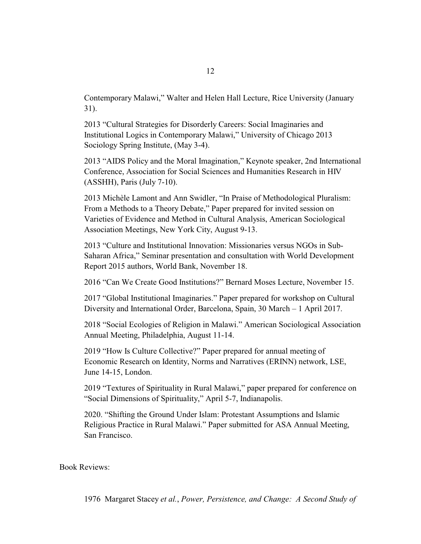Contemporary Malawi," Walter and Helen Hall Lecture, Rice University (January 31).

2013 "Cultural Strategies for Disorderly Careers: Social Imaginaries and Institutional Logics in Contemporary Malawi," University of Chicago 2013 Sociology Spring Institute, (May 3-4).

2013 "AIDS Policy and the Moral Imagination," Keynote speaker, 2nd International Conference, Association for Social Sciences and Humanities Research in HIV (ASSHH), Paris (July 7-10).

2013 Michèle Lamont and Ann Swidler, "In Praise of Methodological Pluralism: From a Methods to a Theory Debate," Paper prepared for invited session on Varieties of Evidence and Method in Cultural Analysis, American Sociological Association Meetings, New York City, August 9-13.

2013 "Culture and Institutional Innovation: Missionaries versus NGOs in Sub-Saharan Africa," Seminar presentation and consultation with World Development Report 2015 authors, World Bank, November 18.

2016 "Can We Create Good Institutions?" Bernard Moses Lecture, November 15.

2017 "Global Institutional Imaginaries." Paper prepared for workshop on Cultural Diversity and International Order, Barcelona, Spain, 30 March – 1 April 2017.

2018 "Social Ecologies of Religion in Malawi." American Sociological Association Annual Meeting, Philadelphia, August 11-14.

2019 "How Is Culture Collective?" Paper prepared for annual meeting of Economic Research on Identity, Norms and Narratives (ERINN) network, LSE, June 14-15, London.

2019 "Textures of Spirituality in Rural Malawi," paper prepared for conference on "Social Dimensions of Spirituality," April 5-7, Indianapolis.

2020. "Shifting the Ground Under Islam: Protestant Assumptions and Islamic Religious Practice in Rural Malawi." Paper submitted for ASA Annual Meeting, San Francisco.

Book Reviews: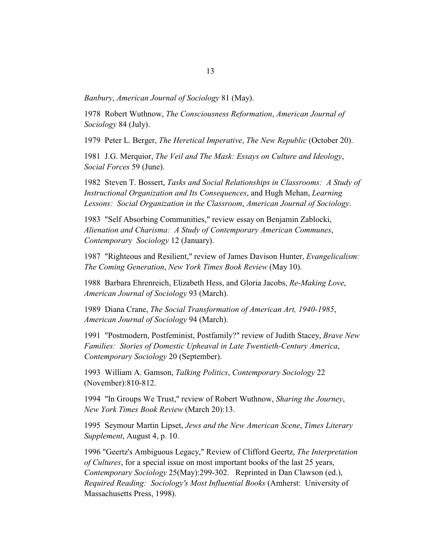*Banbury*, *American Journal of Sociology* 81 (May).

1978 Robert Wuthnow, *The Consciousness Reformation*, *American Journal of Sociology* 84 (July).

1979 Peter L. Berger, *The Heretical Imperative*, *The New Republic* (October 20).

1981 J.G. Merquior, *The Veil and The Mask: Essays on Culture and Ideology*, *Social Forces* 59 (June).

1982 Steven T. Bossert, *Tasks and Social Relationships in Classrooms: A Study of Instructional Organization and Its Consequences*, and Hugh Mehan, *Learning Lessons: Social Organization in the Classroom*, *American Journal of Sociology*.

1983 "Self Absorbing Communities," review essay on Benjamin Zablocki, *Alienation and Charisma: A Study of Contemporary American Communes*, *Contemporary Sociology* 12 (January).

1987 "Righteous and Resilient," review of James Davison Hunter, *Evangelicalism: The Coming Generation*, *New York Times Book Review* (May 10).

1988 Barbara Ehrenreich, Elizabeth Hess, and Gloria Jacobs, *Re-Making Love*, *American Journal of Sociology* 93 (March).

1989 Diana Crane, *The Social Transformation of American Art, 1940-1985*, *American Journal of Sociology* 94 (March).

1991 "Postmodern, Postfeminist, Postfamily?" review of Judith Stacey, *Brave New Families: Stories of Domestic Upheaval in Late Twentieth-Century America*, *Contemporary Sociology* 20 (September).

1993 William A. Gamson, *Talking Politics*, *Contemporary Sociology* 22 (November):810-812.

1994 "In Groups We Trust," review of Robert Wuthnow, *Sharing the Journey*, *New York Times Book Review* (March 20):13.

1995 Seymour Martin Lipset, *Jews and the New American Scene*, *Times Literary Supplement*, August 4, p. 10.

1996 "Geertz's Ambiguous Legacy," Review of Clifford Geertz, *The Interpretation of Cultures*, for a special issue on most important books of the last 25 years, *Contemporary Sociology* 25(May):299-302. Reprinted in Dan Clawson (ed.), *Required Reading: Sociology's Most Influential Books* (Amherst: University of Massachusetts Press, 1998).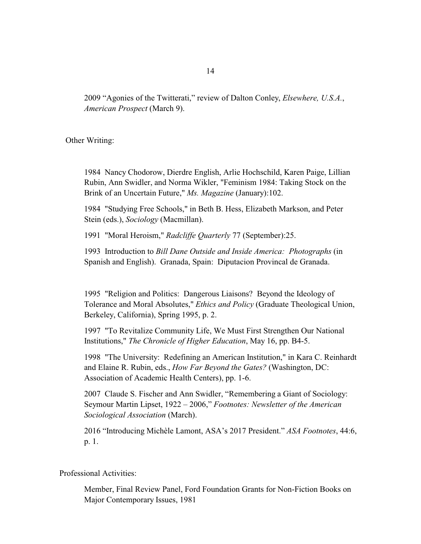2009 "Agonies of the Twitterati," review of Dalton Conley, *Elsewhere, U.S.A.*, *American Prospect* (March 9).

Other Writing:

1984 Nancy Chodorow, Dierdre English, Arlie Hochschild, Karen Paige, Lillian Rubin, Ann Swidler, and Norma Wikler, "Feminism 1984: Taking Stock on the Brink of an Uncertain Future," *Ms. Magazine* (January):102.

1984 "Studying Free Schools," in Beth B. Hess, Elizabeth Markson, and Peter Stein (eds.), *Sociology* (Macmillan).

1991 "Moral Heroism," *Radcliffe Quarterly* 77 (September):25.

1993 Introduction to *Bill Dane Outside and Inside America: Photographs* (in Spanish and English). Granada, Spain: Diputacion Provincal de Granada.

1995 "Religion and Politics: Dangerous Liaisons? Beyond the Ideology of Tolerance and Moral Absolutes," *Ethics and Policy* (Graduate Theological Union, Berkeley, California), Spring 1995, p. 2.

1997 "To Revitalize Community Life, We Must First Strengthen Our National Institutions," *The Chronicle of Higher Education*, May 16, pp. B4-5.

1998 "The University: Redefining an American Institution," in Kara C. Reinhardt and Elaine R. Rubin, eds., *How Far Beyond the Gates?* (Washington, DC: Association of Academic Health Centers), pp. 1-6.

2007 Claude S. Fischer and Ann Swidler, "Remembering a Giant of Sociology: Seymour Martin Lipset, 1922 – 2006," *Footnotes: Newsletter of the American Sociological Association* (March).

2016 "Introducing Michèle Lamont, ASA's 2017 President." *ASA Footnotes*, 44:6, p. 1.

# Professional Activities:

Member, Final Review Panel, Ford Foundation Grants for Non-Fiction Books on Major Contemporary Issues, 1981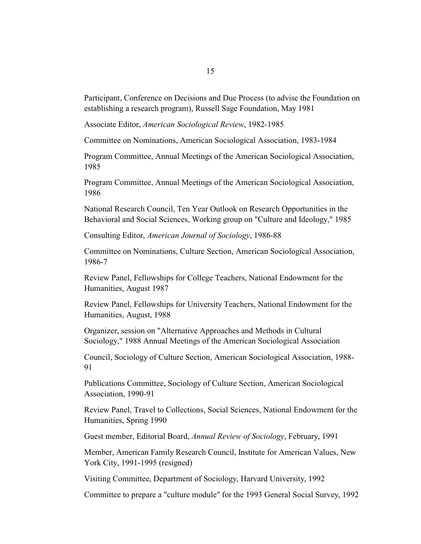Participant, Conference on Decisions and Due Process (to advise the Foundation on establishing a research program), Russell Sage Foundation, May 1981

Associate Editor, *American Sociological Review*, 1982-1985

Committee on Nominations, American Sociological Association, 1983-1984

Program Committee, Annual Meetings of the American Sociological Association, 1985

Program Committee, Annual Meetings of the American Sociological Association, 1986

National Research Council, Ten Year Outlook on Research Opportunities in the Behavioral and Social Sciences, Working group on "Culture and Ideology," 1985

Consulting Editor, *American Journal of Sociology*, 1986-88

Committee on Nominations, Culture Section, American Sociological Association, 1986-7

Review Panel, Fellowships for College Teachers, National Endowment for the Humanities, August 1987

Review Panel, Fellowships for University Teachers, National Endowment for the Humanities, August, 1988

Organizer, session on "Alternative Approaches and Methods in Cultural Sociology," 1988 Annual Meetings of the American Sociological Association

Council, Sociology of Culture Section, American Sociological Association, 1988- 91

Publications Committee, Sociology of Culture Section, American Sociological Association, 1990-91

Review Panel, Travel to Collections, Social Sciences, National Endowment for the Humanities, Spring 1990

Guest member, Editorial Board, *Annual Review of Sociology*, February, 1991

Member, American Family Research Council, Institute for American Values, New York City, 1991-1995 (resigned)

Visiting Committee, Department of Sociology, Harvard University, 1992

Committee to prepare a "culture module" for the 1993 General Social Survey, 1992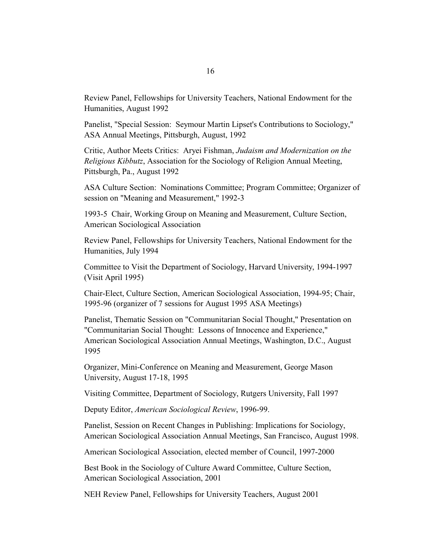Review Panel, Fellowships for University Teachers, National Endowment for the Humanities, August 1992

Panelist, "Special Session: Seymour Martin Lipset's Contributions to Sociology," ASA Annual Meetings, Pittsburgh, August, 1992

Critic, Author Meets Critics: Aryei Fishman, *Judaism and Modernization on the Religious Kibbutz*, Association for the Sociology of Religion Annual Meeting, Pittsburgh, Pa., August 1992

ASA Culture Section: Nominations Committee; Program Committee; Organizer of session on "Meaning and Measurement," 1992-3

1993-5 Chair, Working Group on Meaning and Measurement, Culture Section, American Sociological Association

Review Panel, Fellowships for University Teachers, National Endowment for the Humanities, July 1994

Committee to Visit the Department of Sociology, Harvard University, 1994-1997 (Visit April 1995)

Chair-Elect, Culture Section, American Sociological Association, 1994-95; Chair, 1995-96 (organizer of 7 sessions for August 1995 ASA Meetings)

Panelist, Thematic Session on "Communitarian Social Thought," Presentation on "Communitarian Social Thought: Lessons of Innocence and Experience," American Sociological Association Annual Meetings, Washington, D.C., August 1995

Organizer, Mini-Conference on Meaning and Measurement, George Mason University, August 17-18, 1995

Visiting Committee, Department of Sociology, Rutgers University, Fall 1997

Deputy Editor, *American Sociological Review*, 1996-99.

Panelist, Session on Recent Changes in Publishing: Implications for Sociology, American Sociological Association Annual Meetings, San Francisco, August 1998.

American Sociological Association, elected member of Council, 1997-2000

Best Book in the Sociology of Culture Award Committee, Culture Section, American Sociological Association, 2001

NEH Review Panel, Fellowships for University Teachers, August 2001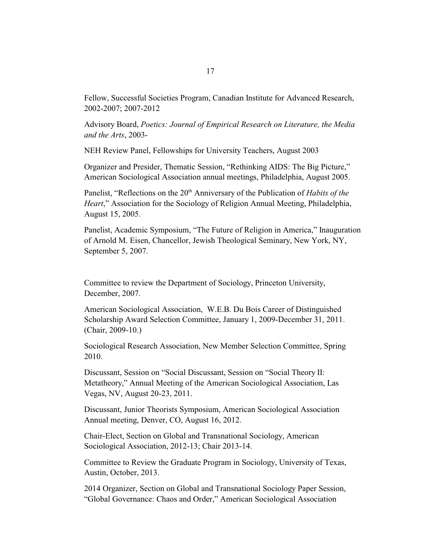Fellow, Successful Societies Program, Canadian Institute for Advanced Research, 2002-2007; 2007-2012

Advisory Board, *Poetics: Journal of Empirical Research on Literature, the Media and the Arts*, 2003-

NEH Review Panel, Fellowships for University Teachers, August 2003

Organizer and Presider, Thematic Session, "Rethinking AIDS: The Big Picture," American Sociological Association annual meetings, Philadelphia, August 2005.

Panelist, "Reflections on the 20<sup>th</sup> Anniversary of the Publication of *Habits of the Heart*," Association for the Sociology of Religion Annual Meeting, Philadelphia, August 15, 2005.

Panelist, Academic Symposium, "The Future of Religion in America," Inauguration of Arnold M. Eisen, Chancellor, Jewish Theological Seminary, New York, NY, September 5, 2007.

Committee to review the Department of Sociology, Princeton University, December, 2007.

American Sociological Association, W.E.B. Du Bois Career of Distinguished Scholarship Award Selection Committee, January 1, 2009-December 31, 2011. (Chair, 2009-10.)

Sociological Research Association, New Member Selection Committee, Spring 2010.

Discussant, Session on "Social Discussant, Session on "Social Theory II: Metatheory," Annual Meeting of the American Sociological Association, Las Vegas, NV, August 20-23, 2011.

Discussant, Junior Theorists Symposium, American Sociological Association Annual meeting, Denver, CO, August 16, 2012.

Chair-Elect, Section on Global and Transnational Sociology, American Sociological Association, 2012-13; Chair 2013-14.

Committee to Review the Graduate Program in Sociology, University of Texas, Austin, October, 2013.

2014 Organizer, Section on Global and Transnational Sociology Paper Session, "Global Governance: Chaos and Order," American Sociological Association